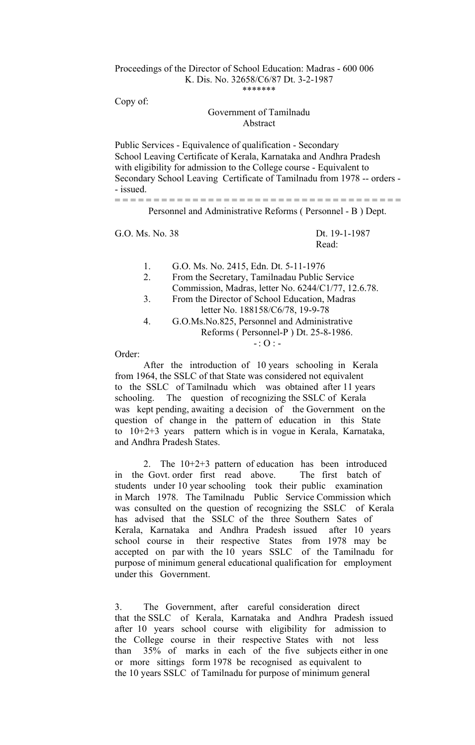#### Proceedings of the Director of School Education: Madras - 600 006 K. Dis. No. 32658/C6/87 Dt. 3-2-1987 \*\*\*\*\*\*\*

Copy of:

Government of Tamilnadu Abstract

Public Services - Equivalence of qualification - Secondary School Leaving Certificate of Kerala, Karnataka and Andhra Pradesh with eligibility for admission to the College course - Equivalent to Secondary School Leaving Certificate of Tamilnadu from 1978 -- orders - - issued. = = = = = = = = = = = = = = = = = = = = = = = = = = = = = = = = = = = = =

Personnel and Administrative Reforms ( Personnel - B ) Dept.

G.O. Ms. No. 38 Dt. 19-1-1987

Read:

- 1. G.O. Ms. No. 2415, Edn. Dt. 5-11-1976
- 2. From the Secretary, Tamilnadau Public Service Commission, Madras, letter No. 6244/C1/77, 12.6.78.
- 3. From the Director of School Education, Madras letter No. 188158/C6/78, 19-9-78
- 4. G.O.Ms.No.825, Personnel and Administrative Reforms ( Personnel-P ) Dt. 25-8-1986.  $- : 0 : -$

Order:

 After the introduction of 10 years schooling in Kerala from 1964, the SSLC of that State was considered not equivalent to the SSLC of Tamilnadu which was obtained after 11 years schooling. The question of recognizing the SSLC of Kerala was kept pending, awaiting a decision of the Government on the question of change in the pattern of education in this State to 10+2+3 years pattern which is in vogue in Kerala, Karnataka, and Andhra Pradesh States.

2. The 10+2+3 pattern of education has been introduced in the Govt. order first read above. The first batch of students under 10 year schooling took their public examination in March 1978. The Tamilnadu Public Service Commission which was consulted on the question of recognizing the SSLC of Kerala has advised that the SSLC of the three Southern Sates of Kerala, Karnataka and Andhra Pradesh issued after 10 years school course in their respective States from 1978 may be accepted on par with the 10 years SSLC of the Tamilnadu for purpose of minimum general educational qualification for employment under this Government.

3. The Government, after careful consideration direct that the SSLC of Kerala, Karnataka and Andhra Pradesh issued after 10 years school course with eligibility for admission to the College course in their respective States with not less than 35% of marks in each of the five subjects either in one or more sittings form 1978 be recognised as equivalent to the 10 years SSLC of Tamilnadu for purpose of minimum general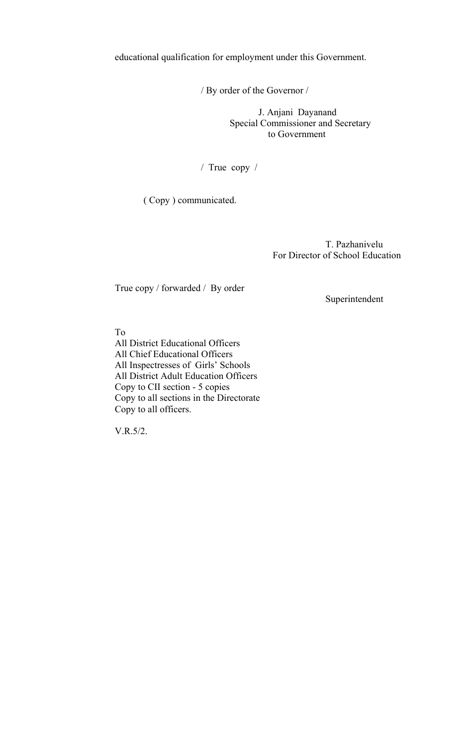## educational qualification for employment under this Government.

/ By order of the Governor /

# J. Anjani Dayanand Special Commissioner and Secretary to Government

/ True copy /

( Copy ) communicated.

 T. Pazhanivelu For Director of School Education

True copy / forwarded / By order

Superintendent

To

All District Educational Officers All Chief Educational Officers All Inspectresses of Girls' Schools All District Adult Education Officers Copy to CII section - 5 copies Copy to all sections in the Directorate Copy to all officers.

V.R.5/2.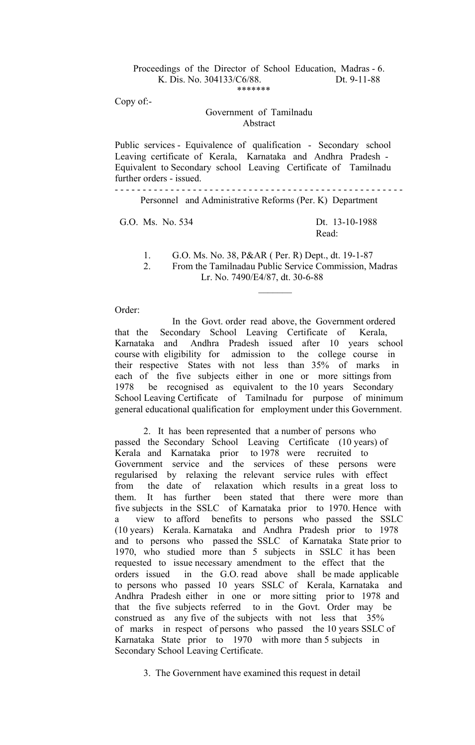# Proceedings of the Director of School Education, Madras - 6. K. Dis. No. 304133/C6/88. Dt. 9-11-88 \*\*\*\*\*\*\*

Copy of:-

## Government of Tamilnadu Abstract

Public services - Equivalence of qualification - Secondary school Leaving certificate of Kerala, Karnataka and Andhra Pradesh - Equivalent to Secondary school Leaving Certificate of Tamilnadu further orders - issued.

- - - - - - - - - - - - - - - - - - - - - - - - - - - - - - - - - - - - - - - - - - - - - - - - - - - - Personnel and Administrative Reforms (Per. K) Department

 $\mathcal{L}_\text{max}$  and  $\mathcal{L}_\text{max}$  are the set of the set of the set of the set of the set of the set of the set of the set of the set of the set of the set of the set of the set of the set of the set of the set of the set o

 G.O. Ms. No. 534 Dt. 13-10-1988 Read:

1. G.O. Ms. No. 38, P&AR (Per. R) Dept., dt. 19-1-87<br>2. From the Tamilnadau Public Service Commission.

 2. From the Tamilnadau Public Service Commission, Madras Lr. No. 7490/E4/87, dt. 30-6-88

#### Order:

In the Govt. order read above, the Government ordered that the Secondary School Leaving Certificate of Kerala, Karnataka and Andhra Pradesh issued after 10 years school course with eligibility for admission to the college course in their respective States with not less than 35% of marks in each of the five subjects either in one or more sittings from 1978 be recognised as equivalent to the 10 years Secondary School Leaving Certificate of Tamilnadu for purpose of minimum general educational qualification for employment under this Government.

 2. It has been represented that a number of persons who passed the Secondary School Leaving Certificate (10 years) of Kerala and Karnataka prior to 1978 were recruited to Government service and the services of these persons were regularised by relaxing the relevant service rules with effect from the date of relaxation which results in a great loss to them. It has further been stated that there were more than five subjects in the SSLC of Karnataka prior to 1970. Hence with a view to afford benefits to persons who passed the SSLC (10 years) Kerala. Karnataka and Andhra Pradesh prior to 1978 and to persons who passed the SSLC of Karnataka State prior to 1970, who studied more than 5 subjects in SSLC it has been requested to issue necessary amendment to the effect that the orders issued in the G.O. read above shall be made applicable to persons who passed 10 years SSLC of Kerala, Karnataka and Andhra Pradesh either in one or more sitting prior to 1978 and that the five subjects referred to in the Govt. Order may be construed as any five of the subjects with not less that 35% of marks in respect of persons who passed the 10 years SSLC of Karnataka State prior to 1970 with more than 5 subjects in Secondary School Leaving Certificate.

3. The Government have examined this request in detail